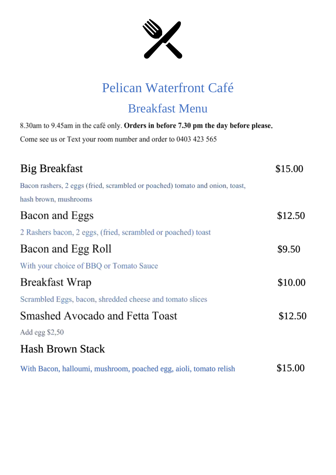

## Pelican Waterfront Café

### Breakfast Menu

| 8.30am to 9.45am in the café only. Orders in before 7.30 pm the day before please |         |
|-----------------------------------------------------------------------------------|---------|
| Come see us or Text your room number and order to 0403 423 565                    |         |
|                                                                                   |         |
| <b>Big Breakfast</b>                                                              | \$15.00 |
| Bacon rashers, 2 eggs (fried, scrambled or poached) tomato and onion, toast,      |         |
| hash brown, mushrooms                                                             |         |
| Bacon and Eggs                                                                    | \$12.50 |
| 2 Rashers bacon, 2 eggs, (fried, scrambled or poached) toast                      |         |
| Bacon and Egg Roll                                                                | \$9.50  |
| With your choice of BBQ or Tomato Sauce                                           |         |
| Breakfast Wrap                                                                    | \$10.00 |
| Scrambled Eggs, bacon, shredded cheese and tomato slices                          |         |
| Smashed Avocado and Fetta Toast                                                   | \$12.50 |
| Add egg \$2,50                                                                    |         |
| <b>Hash Brown Stack</b>                                                           |         |
| With Bacon, halloumi, mushroom, poached egg, aioli, tomato relish                 | \$15.00 |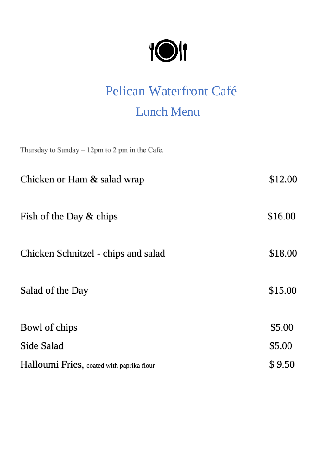| ⋓ | 11 |
|---|----|
|   |    |

# Pelican Waterfront Café Lunch Menu

Thursday to Sunday  $-12$ pm to 2 pm in the Cafe.

| Chicken or Ham & salad wrap               | \$12.00 |
|-------------------------------------------|---------|
| Fish of the Day $&$ chips                 | \$16.00 |
| Chicken Schnitzel - chips and salad       | \$18.00 |
| Salad of the Day                          | \$15.00 |
| Bowl of chips                             | \$5.00  |
| Side Salad                                | \$5.00  |
| Halloumi Fries, coated with paprika flour | \$9.50  |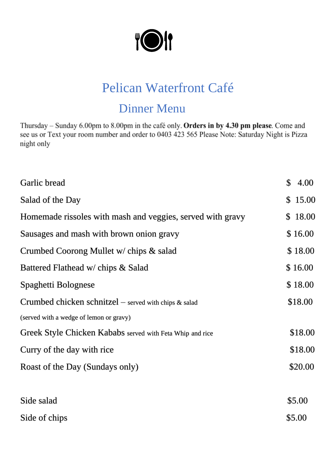

### Pelican Waterfront Café

#### Dinner Menu

Thursday - Sunday 6.00pm to 8.00pm in the café only. Orders in by 4.30 pm please. Come and see us or Text your room number and order to 0403 423 565 Please Note: Saturday Night is Pizza night only

| Garlic bread                                               | \$<br>4.00 |
|------------------------------------------------------------|------------|
| Salad of the Day                                           | \$15.00    |
| Homemade rissoles with mash and veggies, served with gravy | \$18.00    |
| Sausages and mash with brown onion gravy                   | \$16.00    |
| Crumbed Coorong Mullet w/ chips & salad                    | \$18.00    |
| Battered Flathead w/ chips & Salad                         | \$16.00    |
| Spaghetti Bolognese                                        | \$18.00    |
| Crumbed chicken schnitzel – served with chips $\&$ salad   | \$18.00    |
| (served with a wedge of lemon or gravy)                    |            |
| Greek Style Chicken Kababs served with Feta Whip and rice  | \$18.00    |
| Curry of the day with rice                                 | \$18.00    |
| Roast of the Day (Sundays only)                            | \$20.00    |
|                                                            |            |
| Side salad                                                 | \$5.00     |
| Side of chips                                              | \$5.00     |